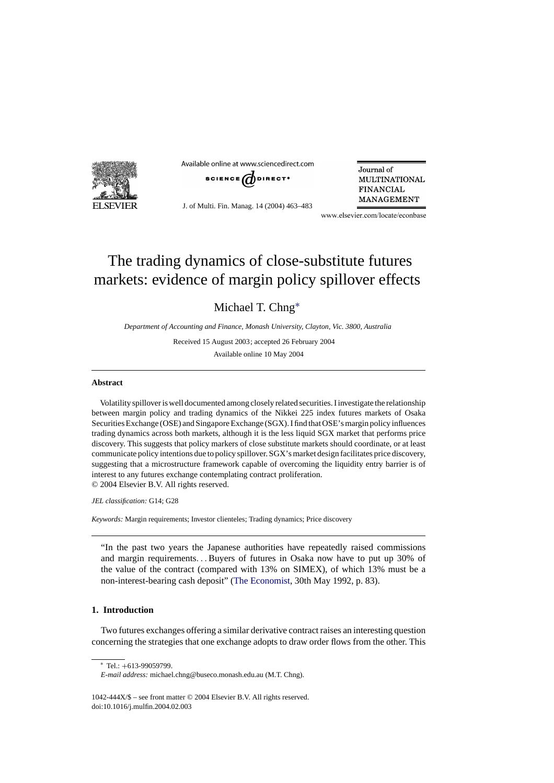

Available online at www.sciencedirect.com



J. of Multi. Fin. Manag. 14 (2004) 463–483

Journal of **MULTINATIONAL FINANCIAL** MANAGEMENT

www.elsevier.com/locate/econbase

## The trading dynamics of close-substitute futures markets: evidence of margin policy spillover effects

Michael T. Chng∗

*Department of Accounting and Finance, Monash University, Clayton, Vic. 3800, Australia*

Received 15 August 2003; accepted 26 February 2004

Available online 10 May 2004

## **Abstract**

Volatility spillover is well documented among closely related securities. I investigate the relationship between margin policy and trading dynamics of the Nikkei 225 index futures markets of Osaka Securities Exchange (OSE) and Singapore Exchange (SGX). I find that OSE's margin policy influences trading dynamics across both markets, although it is the less liquid SGX market that performs price discovery. This suggests that policy markers of close substitute markets should coordinate, or at least communicate policy intentions due to policy spillover. SGX's market design facilitates price discovery, suggesting that a microstructure framework capable of overcoming the liquidity entry barrier is of interest to any futures exchange contemplating contract proliferation. © 2004 Elsevier B.V. All rights reserved.

*JEL classification:* G14; G28

*Keywords:* Margin requirements; Investor clienteles; Trading dynamics; Price discovery

"In the past two years the Japanese authorities have repeatedly raised commissions and margin requirements...Buyers of futures in Osaka now have to put up 30% of the value of the contract (compared with 13% on SIMEX), of which 13% must be a non-interest-bearing cash deposit" ([The Economist, 3](#page--1-0)0th May 1992, p. 83).

## **1. Introduction**

Two futures exchanges offering a similar derivative contract raises an interesting question concerning the strategies that one exchange adopts to draw order flows from the other. This

<sup>∗</sup> Tel.: +613-99059799.

*E-mail address:* michael.chng@buseco.monash.edu.au (M.T. Chng).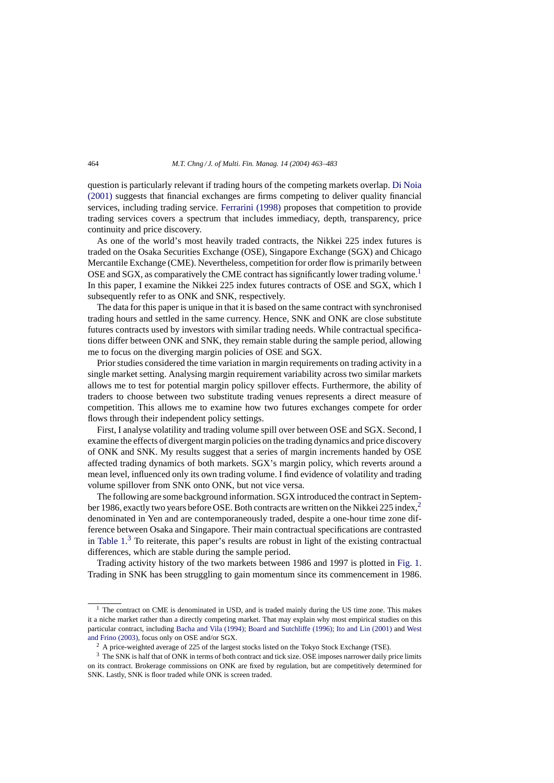question is particularly relevant if trading hours of the competing markets overlap. [Di Noia](#page--1-0) [\(2001\)](#page--1-0) suggests that financial exchanges are firms competing to deliver quality financial services, including trading service. [Ferrarini \(1998\)](#page--1-0) proposes that competition to provide trading services covers a spectrum that includes immediacy, depth, transparency, price continuity and price discovery.

As one of the world's most heavily traded contracts, the Nikkei 225 index futures is traded on the Osaka Securities Exchange (OSE), Singapore Exchange (SGX) and Chicago Mercantile Exchange (CME). Nevertheless, competition for order flow is primarily between OSE and SGX, as comparatively the CME contract has significantly lower trading volume.<sup>1</sup> In this paper, I examine the Nikkei 225 index futures contracts of OSE and SGX, which I subsequently refer to as ONK and SNK, respectively.

The data for this paper is unique in that it is based on the same contract with synchronised trading hours and settled in the same currency. Hence, SNK and ONK are close substitute futures contracts used by investors with similar trading needs. While contractual specifications differ between ONK and SNK, they remain stable during the sample period, allowing me to focus on the diverging margin policies of OSE and SGX.

Prior studies considered the time variation in margin requirements on trading activity in a single market setting. Analysing margin requirement variability across two similar markets allows me to test for potential margin policy spillover effects. Furthermore, the ability of traders to choose between two substitute trading venues represents a direct measure of competition. This allows me to examine how two futures exchanges compete for order flows through their independent policy settings.

First, I analyse volatility and trading volume spill over between OSE and SGX. Second, I examine the effects of divergent margin policies on the trading dynamics and price discovery of ONK and SNK. My results suggest that a series of margin increments handed by OSE affected trading dynamics of both markets. SGX's margin policy, which reverts around a mean level, influenced only its own trading volume. I find evidence of volatility and trading volume spillover from SNK onto ONK, but not vice versa.

The following are some background information. SGX introduced the contract in September 1986, exactly two years before OSE. Both contracts are written on the Nikkei 225 index,<sup>2</sup> denominated in Yen and are contemporaneously traded, despite a one-hour time zone difference between Osaka and Singapore. Their main contractual specifications are contrasted in Table  $1<sup>3</sup>$  To reiterate, this paper's results are robust in light of the existing contractual differences, which are stable during the sample period.

Trading activity history of the two markets between 1986 and 1997 is plotted in [Fig. 1.](#page--1-0) Trading in SNK has been struggling to gain momentum since its commencement in 1986.

<sup>&</sup>lt;sup>1</sup> The contract on CME is denominated in USD, and is traded mainly during the US time zone. This makes it a niche market rather than a directly competing market. That may explain why most empirical studies on this particular contract, including [Bacha and Vila \(1994\);](#page--1-0) [Board and Sutchliffe \(1996\);](#page--1-0) [Ito and Lin \(2001\)](#page--1-0) and [West](#page--1-0) [and Frino \(2003\), f](#page--1-0)ocus only on OSE and/or SGX.

<sup>&</sup>lt;sup>2</sup> A price-weighted average of 225 of the largest stocks listed on the Tokyo Stock Exchange (TSE).

<sup>&</sup>lt;sup>3</sup> The SNK is half that of ONK in terms of both contract and tick size. OSE imposes narrower daily price limits on its contract. Brokerage commissions on ONK are fixed by regulation, but are competitively determined for SNK. Lastly, SNK is floor traded while ONK is screen traded.